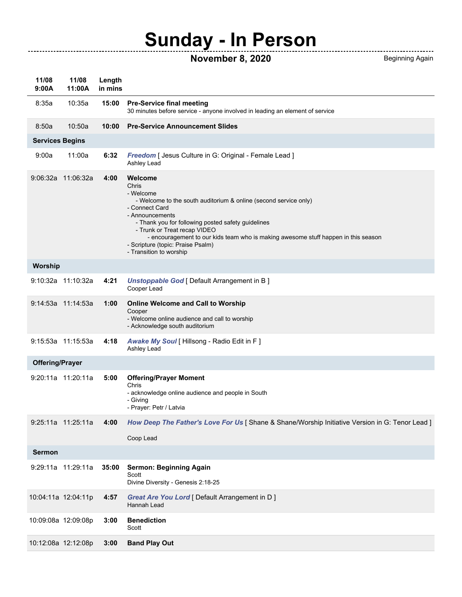## **Sunday - In Person**

## **November 8, 2020** Beginning Again

------------------------------

| 11/08<br>9:00A         | 11/08<br>11:00A     | Length<br>in mins |                                                                                                                                                                                                                                                                                                                                                                                    |  |  |  |
|------------------------|---------------------|-------------------|------------------------------------------------------------------------------------------------------------------------------------------------------------------------------------------------------------------------------------------------------------------------------------------------------------------------------------------------------------------------------------|--|--|--|
| 8:35a                  | 10:35a              | 15:00             | <b>Pre-Service final meeting</b><br>30 minutes before service - anyone involved in leading an element of service                                                                                                                                                                                                                                                                   |  |  |  |
| 8:50a                  | 10:50a              | 10:00             | <b>Pre-Service Announcement Slides</b>                                                                                                                                                                                                                                                                                                                                             |  |  |  |
| <b>Services Begins</b> |                     |                   |                                                                                                                                                                                                                                                                                                                                                                                    |  |  |  |
| 9:00a                  | 11:00a              | 6:32              | Freedom [ Jesus Culture in G: Original - Female Lead ]<br>Ashley Lead                                                                                                                                                                                                                                                                                                              |  |  |  |
|                        | 9:06:32a 11:06:32a  | 4:00              | Welcome<br>Chris<br>- Welcome<br>- Welcome to the south auditorium & online (second service only)<br>- Connect Card<br>- Announcements<br>- Thank you for following posted safety guidelines<br>- Trunk or Treat recap VIDEO<br>- encouragement to our kids team who is making awesome stuff happen in this season<br>- Scripture (topic: Praise Psalm)<br>- Transition to worship |  |  |  |
| <b>Worship</b>         |                     |                   |                                                                                                                                                                                                                                                                                                                                                                                    |  |  |  |
|                        | 9:10:32a 11:10:32a  | 4:21              | <b>Unstoppable God [ Default Arrangement in B ]</b><br>Cooper Lead                                                                                                                                                                                                                                                                                                                 |  |  |  |
|                        | 9:14:53a 11:14:53a  | 1:00              | <b>Online Welcome and Call to Worship</b><br>Cooper<br>- Welcome online audience and call to worship<br>- Acknowledge south auditorium                                                                                                                                                                                                                                             |  |  |  |
|                        | 9:15:53a 11:15:53a  | 4:18              | Awake My Soul [ Hillsong - Radio Edit in F ]<br>Ashley Lead                                                                                                                                                                                                                                                                                                                        |  |  |  |
| <b>Offering/Prayer</b> |                     |                   |                                                                                                                                                                                                                                                                                                                                                                                    |  |  |  |
|                        | 9:20:11a 11:20:11a  | 5:00              | <b>Offering/Prayer Moment</b><br>Chris<br>- acknowledge online audience and people in South<br>- Giving<br>- Prayer: Petr / Latvia                                                                                                                                                                                                                                                 |  |  |  |
|                        | 9:25:11a 11:25:11a  | 4:00              | How Deep The Father's Love For Us   Shane & Shane/Worship Initiative Version in G: Tenor Lead  <br>Coop Lead                                                                                                                                                                                                                                                                       |  |  |  |
| <b>Sermon</b>          |                     |                   |                                                                                                                                                                                                                                                                                                                                                                                    |  |  |  |
|                        | 9:29:11a 11:29:11a  | 35:00             | Sermon: Beginning Again<br>Scott<br>Divine Diversity - Genesis 2:18-25                                                                                                                                                                                                                                                                                                             |  |  |  |
|                        | 10:04:11a 12:04:11p | 4:57              | Great Are You Lord [ Default Arrangement in D ]<br>Hannah Lead                                                                                                                                                                                                                                                                                                                     |  |  |  |
|                        | 10:09:08a 12:09:08p | 3:00              | <b>Benediction</b><br>Scott                                                                                                                                                                                                                                                                                                                                                        |  |  |  |
|                        | 10:12:08a 12:12:08p | 3:00              | <b>Band Play Out</b>                                                                                                                                                                                                                                                                                                                                                               |  |  |  |